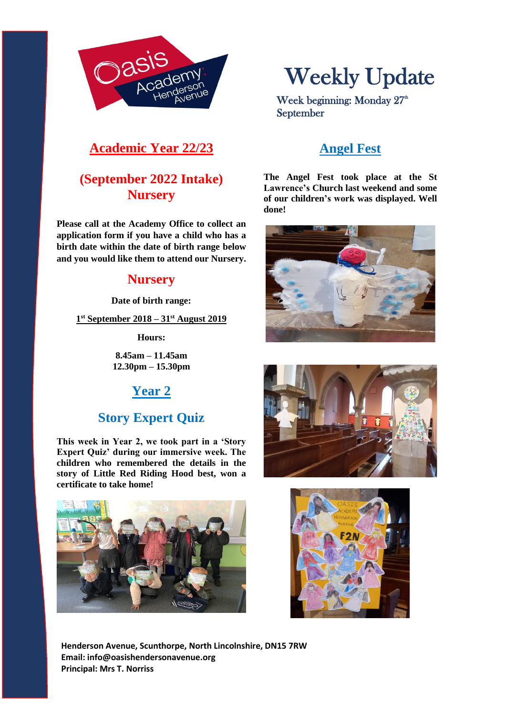

# Weekly Update

Week beginning: Monday 27<sup>th</sup> September

## **Academic Year 22/23**

## **(September 2022 Intake) Nursery**

**Please call at the Academy Office to collect an application form if you have a child who has a birth date within the date of birth range below and you would like them to attend our Nursery.**

#### **Nursery**

**Date of birth range:**

**1 st September 2018 – 31st August 2019**

**Hours:**

**8.45am – 11.45am 12.30pm – 15.30pm**

## **Year 2**

## **Story Expert Quiz**

**This week in Year 2, we took part in a 'Story Expert Quiz' during our immersive week. The children who remembered the details in the story of Little Red Riding Hood best, won a certificate to take home!** 



**Henderson Avenue, Scunthorpe, North Lincolnshire, DN15 7RW Email: info@oasishendersonavenue.org Principal: Mrs T. Norriss**

## **Angel Fest**

**The Angel Fest took place at the St Lawrence's Church last weekend and some of our children's work was displayed. Well done!**